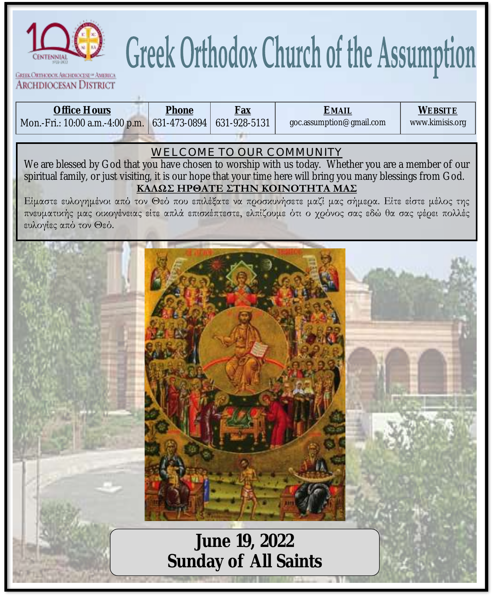

## Greek Orthodox Church of the Assumption

**GREEK ORTHODOX ABCHDIOCESE OF AMERICA ARCHDIOCESAN DISTRICT** 

| Office Hours<br>Mon.-Fri.: 10:00 a.m.-4:00 p.m.                                                                                                                                                                                                                                                                                                                                                                                                                                                                                 | Phone<br>631-473-0894 | <b>Fax</b><br>631-928-5131            | <b>EMAIL</b><br>goc.assumption@gmail.com | <b>WEBSITE</b><br>www.kimisis.org |  |  |  |  |
|---------------------------------------------------------------------------------------------------------------------------------------------------------------------------------------------------------------------------------------------------------------------------------------------------------------------------------------------------------------------------------------------------------------------------------------------------------------------------------------------------------------------------------|-----------------------|---------------------------------------|------------------------------------------|-----------------------------------|--|--|--|--|
| WELCOME TO OUR COMMUNITY<br>We are blessed by God that you have chosen to worship with us today. Whether you are a member of our<br>spiritual family, or just visiting, it is our hope that your time here will bring you many blessings from God.<br>ΚΑΛΩΣ ΗΡΘΑΤΕ ΣΤΗΝ ΚΟΙΝΟΤΗΤΑ ΜΑΣ<br>Είμαστε ευλογημένοι από τον Θεό που επιλέξατε να προσκυνήσετε μαζί μας σήμερα. Είτε είστε μέλος της<br>πνευματικής μας οικογένειας είτε απλά επισκέπτεστε, ελπίζουμε ότι ο χρόνος σας εδώ θα σας φέρει πολλές<br>ευλογίες από τον Θεό. |                       |                                       |                                          |                                   |  |  |  |  |
|                                                                                                                                                                                                                                                                                                                                                                                                                                                                                                                                 |                       |                                       |                                          |                                   |  |  |  |  |
|                                                                                                                                                                                                                                                                                                                                                                                                                                                                                                                                 |                       |                                       |                                          |                                   |  |  |  |  |
|                                                                                                                                                                                                                                                                                                                                                                                                                                                                                                                                 |                       |                                       |                                          |                                   |  |  |  |  |
|                                                                                                                                                                                                                                                                                                                                                                                                                                                                                                                                 |                       | June 19, 2022<br>Sunday of All Saints |                                          |                                   |  |  |  |  |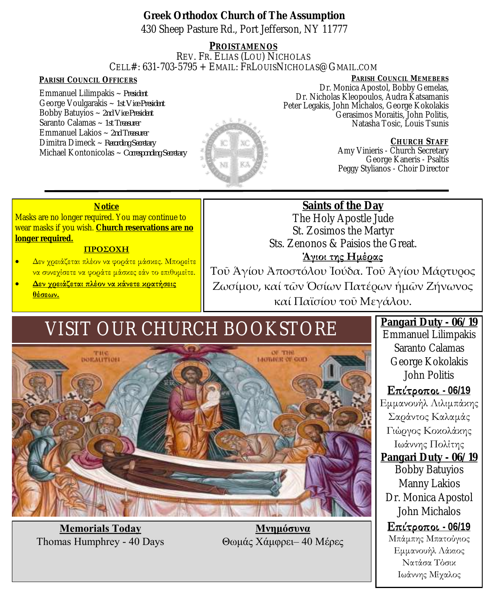**Greek Orthodox Church of The Assumption** 430 Sheep Pasture Rd., Port Jefferson, NY 11777

**PROISTAMENOS** REV. FR. ELIAS (LOU) NICHOLAS CELL#: 631-703-5795 + EMAIL: FRLOUISNICHOLAS@GMAIL.COM

Emmanuel Lilimpakis ~ *President* George Voulgarakis ~ *1st Vice President* Bobby Batuyios ~ *2nd Vice President* Saranto Calamas ~ *1st Treasurer* Emmanuel Lakios ~ *2nd Treasurer* Dimitra Dimeck ~ *Recording Secretary* Michael Kontonicolas ~ *Corresponding Secretary* 



**PARISH COUNCIL OFFICERS PARISH COUNCIL MEMEBERS** Dr. Monica Apostol, Bobby Gemelas, Dr. Nicholas Kleopoulos, Audra Katsamanis Peter Legakis, John Michalos, George Kokolakis Gerasimos Moraitis, John Politis, Natasha Tosic, Louis Tsunis

> **CHURCH STAFF** Amy Vinieris - Church Secretary George Kaneris - Psaltis Peggy Stylianos - Choir Director

#### **Notice**

Masks are no longer required. You may continue to wear masks if you wish. **Church reservations are no longer required.**

#### **ΠΡΟΣΟΧΗ**

- Δεν χρειάζεται πλέον να φοράτε μάσκες. Μπορείτε να συνεχίσετε να φοράτε μάσκες εάν το επιθυμείτε.
- **Δεν χρειάζεται πλέον να κάνετε κρατήσεις θέσεων.**

Sts. Zenonos & Paisios the Great. **Άγιοι της Ημέρας** Τοῦ Ἁγίου Ἀποστόλου Ἰούδα. Τοῦ Ἁγίου Μάρτυρος Ζωσίμου, καί τῶν Ὁσίων Πατέρων ἡμῶν Ζήνωνος καί Παϊσίου τοῦ Μεγάλου.

**Saints of the Day** The Holy Apostle Jude St. Zosimos the Martyr

## VISIT OUR CHURCH BOOKSTORE



**Memorials Today** Thomas Humphrey - 40 Days

**Μνημόσυνα** Θωμάς Χάμφρει– 40 Mέρες

**Pangari Duty - 06/19** Emmanuel Lilimpakis Saranto Calamas George Kokolakis John Politis

**Επίτροποι** - 06/19 Εμμανουήλ Λιλιμπάκης Σαράντος Καλαμάς Γιώργος Κοκολάκης Ιωάννης Πολίτης **Pangari Duty - 06/19** Bobby Batuyios Manny Lakios Dr. Monica Apostol John Michalos

**Επίτροποι** - 06/19 Μπάμπης Μπατούγιος Εμμανουήλ Λάκιος Νατάσα Τόσικ Ιωάννης Μίχαλος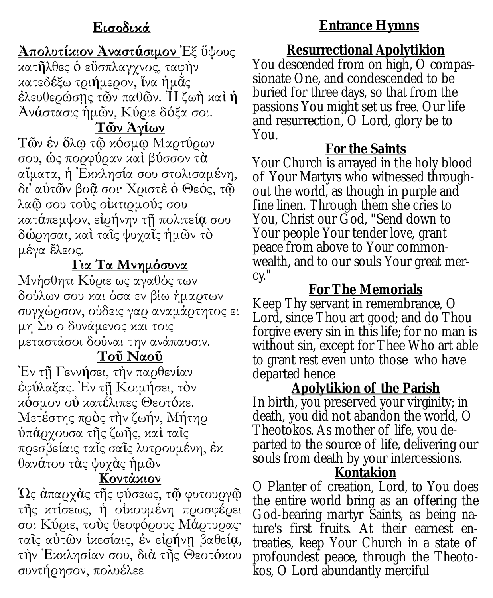#### **Ἀπολυτίκιον Ἀναστάσιμον** Ἐξ ὕψους κατῆλθες ὁ εὔσπλαγχνος, ταφὴν κατεδέξω τριήμερον, ἵνα ἡμᾶς ἐλευθερώσῃς τῶν παθῶν. Ἡ ζωὴ καὶ ἡ Ἀνάστασις ἡμῶν, Κύριε δόξα σοι.

#### **Τῶν Ἁγίων**

Τῶν ἐν ὅλῳ τῷ κόσμῳ Μαρτύρων σου, ὡς πορφύραν καὶ βύσσον τὰ αἵματα, ἡ Ἐκκλησία σου στολισαμένη, δι' αὐτῶν βοᾷ σοι· Χριστὲ ὁ Θεός, τῷ λαῷ σου τοὺς οἰκτιρμούς σου κατάπεμψον, εἰρήνην τῇ πολιτείᾳ σου δώρησαι, καὶ ταῖς ψυχαῖς ἡμῶν τὸ μέγα ἔλεος.

#### **Για Τα Μνημόσυνα**

Μνήσθητι Κύριε ως αγαθός των δούλων σου και όσα εν βίω ήμαρτων συγχώρσον, ούδεις γαρ αναμάρτητος ει μη Συ ο δυνάμενος και τοις μεταστάσοι δούναι την ανάπαυσιν.

#### **Τοῦ Ναοῦ**

Ἐν τῇ Γεννήσει, τὴν παρθενίαν ἐφύλαξας. Ἐν τῇ Κοιμήσει, τὸν κόσμον οὐ κατέλιπες Θεοτόκε. Μετέστης πρὸς τὴν ζωήν, Μήτηρ ὑπάρχουσα τῆς ζωῆς, καὶ ταῖς πρεσβείαις ταῖς σαῖς λυτρουμένη, ἐκ θανάτου τὰς ψυχὰς ἡμῶν

#### **Κοντάκιον**

Ὡς ἀπαρχὰς τῆς φύσεως, τῷ φυτουργῷ τῆς κτίσεως, ἡ οἰκουμένη προσφέρει σοι Κύριε, τοὺς θεοφόρους Μάρτυρας· ταῖς αὐτῶν ἱκεσίαις, ἐν εἰρήνῃ βαθείᾳ, τὴν Ἐκκλησίαν σου, διὰ τῆς Θεοτόκου συντήρησον, πολυέλεε

#### **Entrance Hymns**

**Resurrectional Apolytikion**  You descended from on high, O compassionate One, and condescended to be buried for three days, so that from the passions You might set us free. Our life and resurrection, O Lord, glory be to You.

#### **For the Saints**

Your Church is arrayed in the holy blood of Your Martyrs who witnessed throughout the world, as though in purple and fine linen. Through them she cries to You, Christ our God, "Send down to Your people Your tender love, grant peace from above to Your commonwealth, and to our souls Your great mercy."

#### **For The Memorials**

Keep Thy servant in remembrance, O Lord, since Thou art good; and do Thou forgive every sin in this life; for no man is without sin, except for Thee Who art able to grant rest even unto those who have departed hence

**Apolytikion of the Parish** In birth, you preserved your virginity; in death, you did not abandon the world, O Theotokos. As mother of life, you departed to the source of life, delivering our souls from death by your intercessions. **Kontakion**

O Planter of creation, Lord, to You does the entire world bring as an offering the God-bearing martyr Saints, as being nature's first fruits. At their earnest entreaties, keep Your Church in a state of profoundest peace, through the Theotokos, O Lord abundantly merciful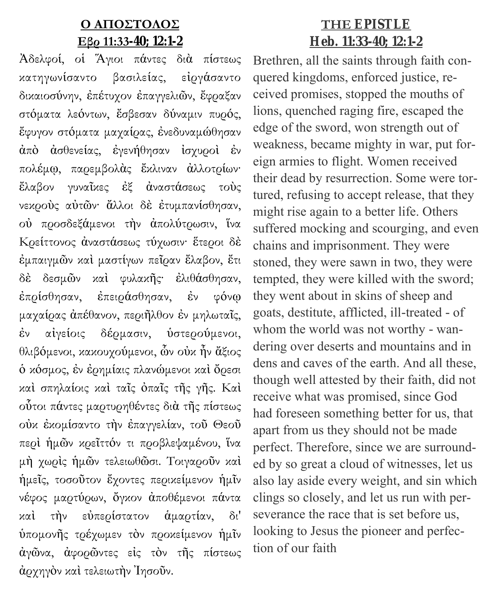#### **Ο ΑΠΟΣΤΟΛΟΣ Εβρ 11:33-40; 12:1-2**

Ἀδελφοί, οἱ Ἅγιοι πάντες διὰ πίστεως κατηγωνίσαντο βασιλείας, εἰργάσαντο δικαιοσύνην, ἐπέτυχον ἐπαγγελιῶν, ἔφραξαν στόματα λεόντων, ἔσβεσαν δύναμιν πυρός, ἔφυγον στόματα μαχαίρας, ἐνεδυναμώθησαν ἀπὸ ἀσθενείας, ἐγενήθησαν ἰσχυροὶ ἐν πολέμῳ, παρεμβολὰς ἔκλιναν ἀλλοτρίων· ἔλαβον γυναῖκες ἐξ ἀναστάσεως τοὺς νεκροὺς αὐτῶν· ἄλλοι δὲ ἐτυμπανίσθησαν, οὐ προσδεξάμενοι τὴν ἀπολύτρωσιν, ἵνα Κρείττονος ἀναστάσεως τύχωσιν· ἕτεροι δὲ ἐμπαιγμῶν καὶ μαστίγων πεῖραν ἔλαβον, ἔτι δὲ δεσμῶν καὶ φυλακῆς· ἐλιθάσθησαν, ἐπρίσθησαν, ἐπειράσθησαν, ἐν φόνῳ μαχαίρας ἀπέθανον, περιῆλθον ἐν μηλωταῖς, ἐν αἰγείοις δέρμασιν, ὑστερούμενοι, θλιβόμενοι, κακουχούμενοι, ὧν οὐκ ἦν ἄξιος ὁ κόσμος, ἐν ἐρημίαις πλανώμενοι καὶ ὄρεσι καὶ σπηλαίοις καὶ ταῖς ὀπαῖς τῆς γῆς. Καὶ οὗτοι πάντες μαρτυρηθέντες διὰ τῆς πίστεως οὐκ ἐκομίσαντο τὴν ἐπαγγελίαν, τοῦ Θεοῦ περὶ ἡμῶν κρεῖττόν τι προβλεψαμένου, ἵνα μὴ χωρὶς ἡμῶν τελειωθῶσι. Τοιγαροῦν καὶ ἡμεῖς, τοσοῦτον ἔχοντες περικείμενον ἡμῖν νέφος μαρτύρων, ὄγκον ἀποθέμενοι πάντα καὶ τὴν εὐπερίστατον ἁμαρτίαν, δι' ὑπομονῆς τρέχωμεν τὸν προκείμενον ἡμῖν ἀγῶνα, ἀφορῶντες εἰς τὸν τῆς πίστεως ἀρχηγὸν καὶ τελειωτὴν Ἰησοῦν.

#### **ΤΗΕ EPISTLE Heb. 11:33-40; 12:1-2**

Brethren, all the saints through faith conquered kingdoms, enforced justice, received promises, stopped the mouths of lions, quenched raging fire, escaped the edge of the sword, won strength out of weakness, became mighty in war, put foreign armies to flight. Women received their dead by resurrection. Some were tortured, refusing to accept release, that they might rise again to a better life. Others suffered mocking and scourging, and even chains and imprisonment. They were stoned, they were sawn in two, they were tempted, they were killed with the sword; they went about in skins of sheep and goats, destitute, afflicted, ill-treated - of whom the world was not worthy - wandering over deserts and mountains and in dens and caves of the earth. And all these, though well attested by their faith, did not receive what was promised, since God had foreseen something better for us, that apart from us they should not be made perfect. Therefore, since we are surrounded by so great a cloud of witnesses, let us also lay aside every weight, and sin which clings so closely, and let us run with perseverance the race that is set before us, looking to Jesus the pioneer and perfection of our faith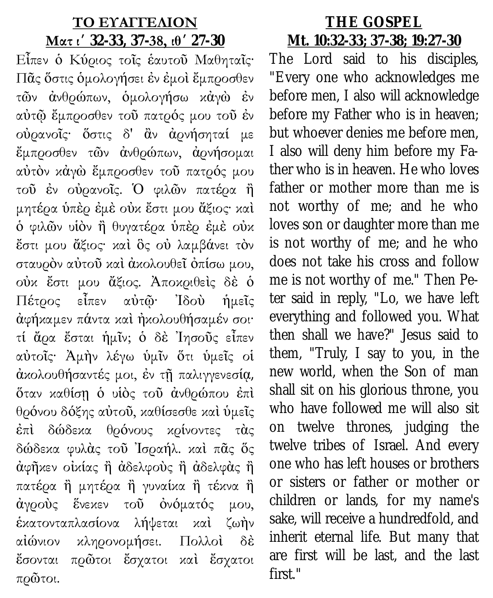#### **ΤΟ ΕΥΑΓΓΕΛΙΟΝ**

#### **Ματ ιʹ 32-33, 37-38, ιθʹ 27-30**

Εἶπεν ὁ Κύριος τοῖς ἑαυτοῦ Μαθηταῖς· Πᾶς ὅστις ὁμολογήσει ἐν ἐμοὶ ἔμπροσθεν τῶν ἀνθρώπων, ὁμολογήσω κἀγὼ ἐν αὐτῷ ἔμπροσθεν τοῦ πατρός μου τοῦ ἐν οὐρανοῖς· ὅστις δ' ἂν ἀρνήσηταί με ἔμπροσθεν τῶν ἀνθρώπων, ἀρνήσομαι αὐτὸν κἀγὼ ἔμπροσθεν τοῦ πατρός μου τοῦ ἐν οὐρανοῖς. Ὁ φιλῶν πατέρα ἢ μητέρα ὑπὲρ ἐμὲ οὐκ ἔστι μου ἄξιος· καὶ ὁ φιλῶν υἱὸν ἢ θυγατέρα ὑπὲρ ἐμὲ οὐκ ἔστι μου ἄξιος· καὶ ὃς οὐ λαμβάνει τὸν σταυρὸν αὐτοῦ καὶ ἀκολουθεῖ ὀπίσω μου, οὐκ ἔστι μου ἄξιος. Ἀποκριθεὶς δὲ ὁ Πέτρος εἶπεν αὐτῷ· Ἰδοὺ ἡμεῖς ἀφήκαμεν πάντα καὶ ἠκολουθήσαμέν σοι· τί ἄρα ἔσται ἡμῖν; ὁ δὲ Ἰησοῦς εἶπεν αὐτοῖς· Ἀμὴν λέγω ὑμῖν ὅτι ὑμεῖς οἱ ἀκολουθήσαντές μοι, ἐν τῇ παλιγγενεσίᾳ, ὅταν καθίσῃ ὁ υἱὸς τοῦ ἀνθρώπου ἐπὶ θρόνου δόξης αὐτοῦ, καθίσεσθε καὶ ὑμεῖς ἐπὶ δώδεκα θρόνους κρίνοντες τὰς δώδεκα φυλὰς τοῦ Ἰσραήλ. καὶ πᾶς ὅς ἀφῆκεν οἰκίας ἢ ἀδελφοὺς ἢ ἀδελφὰς ἢ πατέρα ἢ μητέρα ἢ γυναίκα ἢ τέκνα ἢ ἀγροὺς ἕνεκεν τοῦ ὀνόματός μου, ἑκατονταπλασίονα λήψεται καὶ ζωὴν αἰώνιον κληρονομήσει. Πολλοὶ δὲ ἔσονται πρῶτοι ἔσχατοι καὶ ἔσχατοι πρῶτοι.

#### **THE GOSPEL Mt. 10:32-33; 37-38; 19:27-30**

The Lord said to his disciples, "Every one who acknowledges me before men, I also will acknowledge before my Father who is in heaven; but whoever denies me before men, I also will deny him before my Father who is in heaven. He who loves father or mother more than me is not worthy of me; and he who loves son or daughter more than me is not worthy of me; and he who does not take his cross and follow me is not worthy of me." Then Peter said in reply, "Lo, we have left everything and followed you. What then shall we have?" Jesus said to them, "Truly, I say to you, in the new world, when the Son of man shall sit on his glorious throne, you who have followed me will also sit on twelve thrones, judging the twelve tribes of Israel. And every one who has left houses or brothers or sisters or father or mother or children or lands, for my name's sake, will receive a hundredfold, and inherit eternal life. But many that are first will be last, and the last first."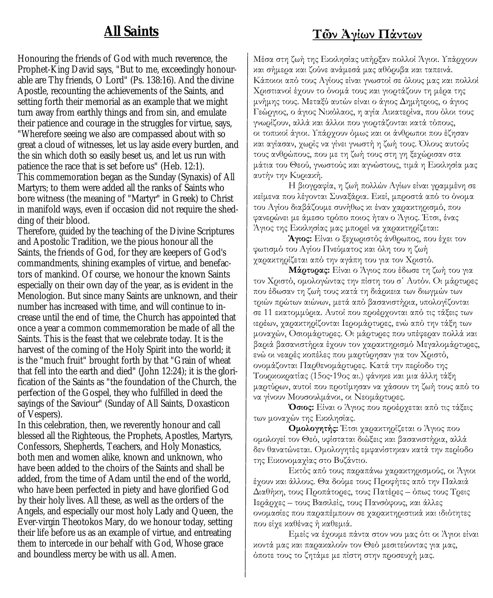#### **All Saints**

Honouring the friends of God with much reverence, the Prophet-King David says, "But to me, exceedingly honourable are Thy friends, O Lord" (Ps. 138:16). And the divine Apostle, recounting the achievements of the Saints, and setting forth their memorial as an example that we might turn away from earthly things and from sin, and emulate their patience and courage in the struggles for virtue, says, "Wherefore seeing we also are compassed about with so great a cloud of witnesses, let us lay aside every burden, and the sin which doth so easily beset us, and let us run with patience the race that is set before us" (Heb. 12:1). This commemoration began as the Sunday (Synaxis) of All Martyrs; to them were added all the ranks of Saints who bore witness (the meaning of "Martyr" in Greek) to Christ in manifold ways, even if occasion did not require the shedding of their blood.

Therefore, guided by the teaching of the Divine Scriptures and Apostolic Tradition, we the pious honour all the Saints, the friends of God, for they are keepers of God's commandments, shining examples of virtue, and benefactors of mankind. Of course, we honour the known Saints especially on their own day of the year, as is evident in the Menologion. But since many Saints are unknown, and their number has increased with time, and will continue to increase until the end of time, the Church has appointed that once a year a common commemoration be made of all the Saints. This is the feast that we celebrate today. It is the harvest of the coming of the Holy Spirit into the world; it is the "much fruit" brought forth by that "Grain of wheat that fell into the earth and died" (John 12:24); it is the glorification of the Saints as "the foundation of the Church, the perfection of the Gospel, they who fulfilled in deed the sayings of the Saviour" (Sunday of All Saints, Doxasticon of Vespers).

In this celebration, then, we reverently honour and call blessed all the Righteous, the Prophets, Apostles, Martyrs, Confessors, Shepherds, Teachers, and Holy Monastics, both men and women alike, known and unknown, who have been added to the choirs of the Saints and shall be added, from the time of Adam until the end of the world, who have been perfected in piety and have glorified God by their holy lives. All these, as well as the orders of the Angels, and especially our most holy Lady and Queen, the Ever-virgin Theotokos Mary, do we honour today, setting their life before us as an example of virtue, and entreating them to intercede in our behalf with God, Whose grace and boundless mercy be with us all. Amen.

#### **Τῶν Ἀγίων Πάντων**

Μέσα στη ζωή της Εκκλησίας υπήρξαν πολλοί Άγιοι. Υπάρχουν και σήμερα και ζούνε ανάμεσά μας αθόρυβα και ταπεινά. Κάποιοι από τους Αγίους είναι γνωστοί σε όλους μας και πολλοί Χριστιανοί έχουν το όνομά τους και γιορτάζουν τη μέρα της μνήμης τους. Μεταξύ αυτών είναι ο άγιος Δημήτριος, ο άγιος Γεώργιος, ο άγιος Νικόλαος, η αγία Αικατερίνα, που όλοι τους γνωρίζουν, αλλά και άλλοι που γιορτάζονται κατά τόπους, οι τοπικοί άγιοι. Υπάρχουν όμως και οι άνθρωποι που έζησαν και αγίασαν, χωρίς να γίνει γνωστή η ζωή τους. Όλους αυτούς τους ανθρώπους, που με τη ζωή τους στη γη ξεχώρισαν στα μάτια του Θεού, γνωστούς και αγνώστους, τιμά η Εκκλησία μας αυτήν την Κυριακή.

Η βιογραφία, η ζωή πολλών Αγίων είναι γραμμένη σε κείμενα που λέγονται Συναξάρια. Εκεί, μπροστά από το όνομα του Αγίου διαβάζουμε συνήθως κι έναν χαρακτηρισμό, που φανερώνει με άμεσο τρόπο ποιος ήταν ο Άγιος. Έτσι, ένας Άγιος της Εκκλησίας μας μπορεί να χαρακτηρίζεται:

**Άγιος:** Είναι ο ξεχωριστός άνθρωπος, που έχει τον φωτισμό του Αγίου Πνεύματος και όλη του η ζωή χαρακτηρίζεται από την αγάπη του για τον Χριστό.

**Μάρτυρας:** Είναι ο Άγιος που έδωσε τη ζωή του για τον Χριστό, ομολογώντας την πίστη του σ΄ Αυτόν. Οι μάρτυρες που έδωσαν τη ζωή τους κατά τη διάρκεια των διωγμών των τριών πρώτων αιώνων, μετά από βασανιστήρια, υπολογίζονται σε 11 εκατομμύρια. Αυτοί που προέρχονται από τις τάξεις των ιερέων, χαρακτηρίζονται Ιερομάρτυρες, ενώ από την τάξη των μοναχών, Οσιομάρτυρες. Οι μάρτυρες που υπέφεραν πολλά και βαριά βασανιστήρια έχουν τον χαρακτηρισμό Μεγαλομάρτυρες, ενώ οι νεαρές κοπέλες που μαρτύρησαν για τον Χριστό, ονομάζονται Παρθενομάρτυρες. Κατά την περίοδο της Τουρκοκρατίας (15ος-19ος αι.) φάνηκε και μια άλλη τάξη μαρτύρων, αυτοί που προτίμησαν να χάσουν τη ζωή τους από το να γίνουν Μουσουλμάνοι, οι Νεομάρτυρες.

**Όσιος:** Είναι ο Άγιος που προέρχεται από τις τάξεις των μοναχών της Εκκλησίας.

**Ομολογητής:** Έτσι χαρακτηρίζεται ο Άγιος που ομολογεί τον Θεό, υφίσταται διώξεις και βασανιστήρια, αλλά δεν θανατώνεται. Ομολογητές εμφανίστηκαν κατά την περίοδο της Εικονομαχίας στο Βυζάντιο.

Εκτός από τους παραπάνω χαρακτηρισμούς, οι Άγιοι έχουν και άλλους. Θα δούμε τους Προφήτες από την Παλαιά Διαθήκη, τους Προπάτορες, τους Πατέρες – όπως τους Τρεις Ιεράρχες – τους Βασιλείς, τους Πανσόφους, και άλλες ονομασίες που παραπέμπουν σε χαρακτηριστικά και ιδιότητες που είχε καθένας ή καθεμιά.

Εμείς να έχουμε πάντα στον νου μας ότι οι Άγιοι είναι κοντά μας και παρακαλούν τον Θεό μεσιτεύοντας για μας, όποτε τους το ζητάμε με πίστη στην προσευχή μας.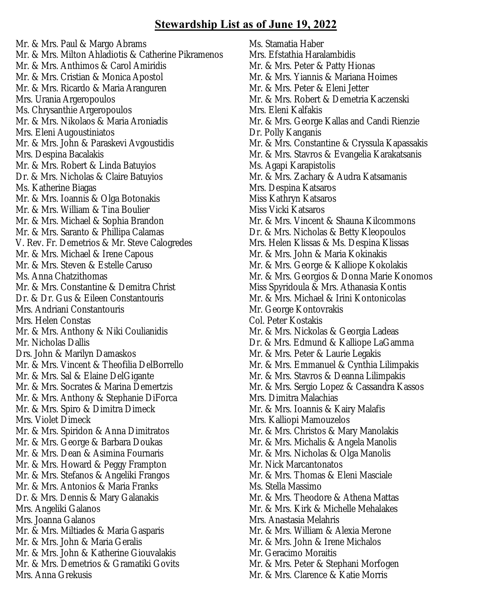#### **Stewardship List as of June 19, 2022**

Mr. & Mrs. Paul & Margo Abrams Mr. & Mrs. Milton Ahladiotis & Catherine Pikramenos Mr. & Mrs. Anthimos & Carol Amiridis Mr. & Mrs. Cristian & Monica Apostol Mr. & Mrs. Ricardo & Maria Aranguren Mrs. Urania Argeropoulos Ms. Chrysanthie Argeropoulos Mr. & Mrs. Nikolaos & Maria Aroniadis Mrs. Eleni Augoustiniatos Mr. & Mrs. John & Paraskevi Avgoustidis Mrs. Despina Bacalakis Mr. & Mrs. Robert & Linda Batuyios Dr. & Mrs. Nicholas & Claire Batuyios Ms. Katherine Biagas Mr. & Mrs. Ioannis & Olga Botonakis Mr. & Mrs. William & Tina Boulier Mr. & Mrs. Michael & Sophia Brandon Mr. & Mrs. Saranto & Phillipa Calamas V. Rev. Fr. Demetrios & Mr. Steve Calogredes Mr. & Mrs. Michael & Irene Capous Mr. & Mrs. Steven & Estelle Caruso Ms. Anna Chatzithomas Mr. & Mrs. Constantine & Demitra Christ Dr. & Dr. Gus & Eileen Constantouris Mrs. Andriani Constantouris Mrs. Helen Constas Mr. & Mrs. Anthony & Niki Coulianidis Mr. Nicholas Dallis Drs. John & Marilyn Damaskos Mr. & Mrs. Vincent & Theofilia DelBorrello Mr. & Mrs. Sal & Elaine DelGigante Mr. & Mrs. Socrates & Marina Demertzis Mr. & Mrs. Anthony & Stephanie DiForca Mr. & Mrs. Spiro & Dimitra Dimeck Mrs. Violet Dimeck Mr. & Mrs. Spiridon & Anna Dimitratos Mr. & Mrs. George & Barbara Doukas Mr. & Mrs. Dean & Asimina Fournaris Mr. & Mrs. Howard & Peggy Frampton Mr. & Mrs. Stefanos & Angeliki Frangos Mr. & Mrs. Antonios & Maria Franks Dr. & Mrs. Dennis & Mary Galanakis Mrs. Angeliki Galanos Mrs. Joanna Galanos Mr. & Mrs. Miltiades & Maria Gasparis Mr. & Mrs. John & Maria Geralis Mr. & Mrs. John & Katherine Giouvalakis Mr. & Mrs. Demetrios & Gramatiki Govits Mrs. Anna Grekusis

Ms. Stamatia Haber Mrs. Efstathia Haralambidis Mr. & Mrs. Peter & Patty Hionas Mr. & Mrs. Yiannis & Mariana Hoimes Mr. & Mrs. Peter & Eleni Jetter Mr. & Mrs. Robert & Demetria Kaczenski Mrs. Eleni Kalfakis Mr. & Mrs. George Kallas and Candi Rienzie Dr. Polly Kanganis Mr. & Mrs. Constantine & Cryssula Kapassakis Mr. & Mrs. Stavros & Evangelia Karakatsanis Ms. Agapi Karapistolis Mr. & Mrs. Zachary & Audra Katsamanis Mrs. Despina Katsaros Miss Kathryn Katsaros Miss Vicki Katsaros Mr. & Mrs. Vincent & Shauna Kilcommons Dr. & Mrs. Nicholas & Betty Kleopoulos Mrs. Helen Klissas & Ms. Despina Klissas Mr. & Mrs. John & Maria Kokinakis Mr. & Mrs. George & Kalliope Kokolakis Mr. & Mrs. Georgios & Donna Marie Konomos Miss Spyridoula & Mrs. Athanasia Kontis Mr. & Mrs. Michael & Irini Kontonicolas Mr. George Kontovrakis Col. Peter Kostakis Mr. & Mrs. Nickolas & Georgia Ladeas Dr. & Mrs. Edmund & Kalliope LaGamma Mr. & Mrs. Peter & Laurie Legakis Mr. & Mrs. Emmanuel & Cynthia Lilimpakis Mr. & Mrs. Stavros & Deanna Lilimpakis Mr. & Mrs. Sergio Lopez & Cassandra Kassos Mrs. Dimitra Malachias Mr. & Mrs. Ioannis & Kairy Malafis Mrs. Kalliopi Mamouzelos Mr. & Mrs. Christos & Mary Manolakis Mr. & Mrs. Michalis & Angela Manolis Mr. & Mrs. Nicholas & Olga Manolis Mr. Nick Marcantonatos Mr. & Mrs. Thomas & Eleni Masciale Ms. Stella Massimo Mr. & Mrs. Theodore & Athena Mattas Mr. & Mrs. Kirk & Michelle Mehalakes Mrs. Anastasia Melahris Mr. & Mrs. William & Alexia Merone Mr. & Mrs. John & Irene Michalos Mr. Geracimo Moraitis Mr. & Mrs. Peter & Stephani Morfogen Mr. & Mrs. Clarence & Katie Morris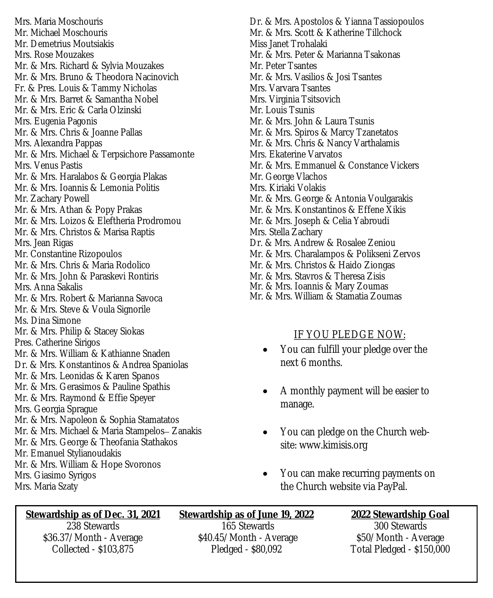Mrs. Maria Moschouris Mr. Michael Moschouris Mr. Demetrius Moutsiakis Mrs. Rose Mouzakes Mr. & Mrs. Richard & Sylvia Mouzakes Mr. & Mrs. Bruno & Theodora Nacinovich Fr. & Pres. Louis & Tammy Nicholas Mr. & Mrs. Barret & Samantha Nobel Mr. & Mrs. Eric & Carla Olzinski Mrs. Eugenia Pagonis Mr. & Mrs. Chris & Joanne Pallas Mrs. Alexandra Pappas Mr. & Mrs. Michael & Terpsichore Passamonte Mrs. Venus Pastis Mr. & Mrs. Haralabos & Georgia Plakas Mr. & Mrs. Ioannis & Lemonia Politis Mr. Zachary Powell Mr. & Mrs. Athan & Popy Prakas Mr. & Mrs. Loizos & Eleftheria Prodromou Mr. & Mrs. Christos & Marisa Raptis Mrs. Jean Rigas Mr. Constantine Rizopoulos Mr. & Mrs. Chris & Maria Rodolico Mr. & Mrs. John & Paraskevi Rontiris Mrs. Anna Sakalis Mr. & Mrs. Robert & Marianna Savoca Mr. & Mrs. Steve & Voula Signorile Ms. Dina Simone Mr. & Mrs. Philip & Stacey Siokas Pres. Catherine Sirigos Mr. & Mrs. William & Kathianne Snaden Dr. & Mrs. Konstantinos & Andrea Spaniolas Mr. & Mrs. Leonidas & Karen Spanos Mr. & Mrs. Gerasimos & Pauline Spathis Mr. & Mrs. Raymond & Effie Speyer Mrs. Georgia Sprague Mr. & Mrs. Napoleon & Sophia Stamatatos Mr. & Mrs. Michael & Maria Stampelos– Zanakis Mr. & Mrs. George & Theofania Stathakos Mr. Emanuel Stylianoudakis Mr. & Mrs. William & Hope Svoronos Mrs. Giasimo Syrigos Mrs. Maria Szaty

Dr. & Mrs. Apostolos & Yianna Tassiopoulos Mr. & Mrs. Scott & Katherine Tillchock Miss Janet Trohalaki Mr. & Mrs. Peter & Marianna Tsakonas Mr. Peter Tsantes Mr. & Mrs. Vasilios & Josi Tsantes Mrs. Varvara Tsantes Mrs. Virginia Tsitsovich Mr. Louis Tsunis Mr. & Mrs. John & Laura Tsunis Mr. & Mrs. Spiros & Marcy Tzanetatos Mr. & Mrs. Chris & Nancy Varthalamis Mrs. Ekaterine Varvatos Mr. & Mrs. Emmanuel & Constance Vickers Mr. George Vlachos Mrs. Kiriaki Volakis Mr. & Mrs. George & Antonia Voulgarakis Mr. & Mrs. Konstantinos & Effene Xikis Mr. & Mrs. Joseph & Celia Yabroudi Mrs. Stella Zachary Dr. & Mrs. Andrew & Rosalee Zeniou Mr. & Mrs. Charalampos & Polikseni Zervos Mr. & Mrs. Christos & Haido Ziongas Mr. & Mrs. Stavros & Theresa Zisis Mr. & Mrs. Ioannis & Mary Zoumas

#### Mr. & Mrs. William & Stamatia Zoumas

#### IF YOU PLEDGE NOW:

- You can fulfill your pledge over the next 6 months.
- A monthly payment will be easier to manage.
- You can pledge on the Church website: www.kimisis.org
- You can make recurring payments on the Church website via PayPal.

**Stewardship as of Dec. 31, 2021** 238 Stewards \$36.37/Month - Average Collected - \$103,875

**Stewardship as of June 19, 2022** 165 Stewards \$40.45/Month - Average Pledged - \$80,092

**2022 Stewardship Goal** 300 Stewards \$50/Month - Average Total Pledged - \$150,000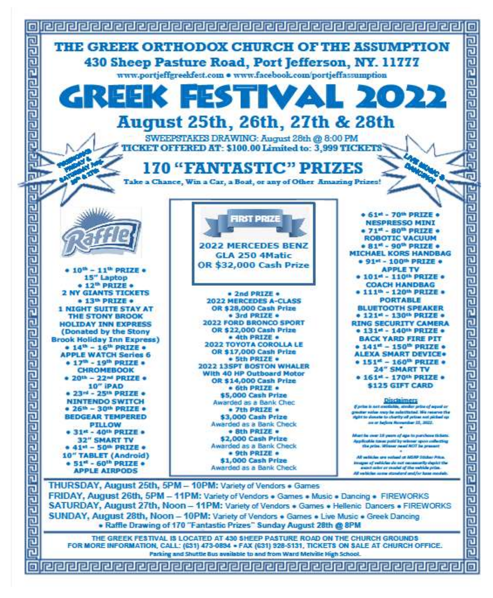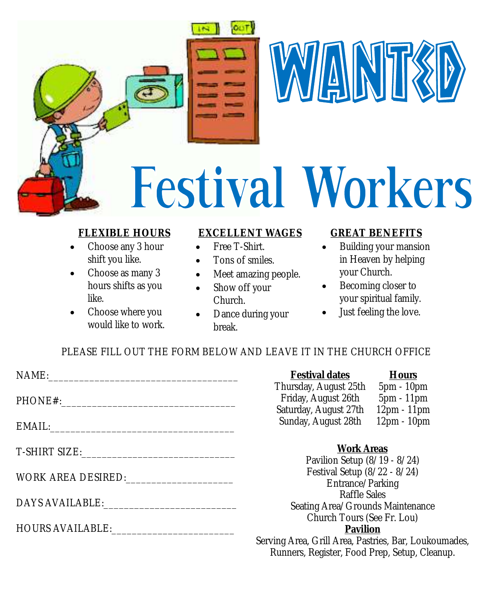



# **Festival Workers**

#### **FLEXIBLE HOURS**

- Choose any 3 hour shift you like.
- Choose as many 3 hours shifts as you like.
- Choose where you would like to work.

#### **EXCELLENT WAGES**

- Free T-Shirt.
- Tons of smiles.
- Meet amazing people.
- Show off your Church.
- Dance during your break.

#### **GREAT BENEFITS**

- Building your mansion in Heaven by helping your Church.
- Becoming closer to your spiritual family.
- Just feeling the love.

PLEASE FILL OUT THE FORM BELOW AND LEAVE IT IN THE CHURCH OFFICE

| NAME:                                                                                                           | Festival dates<br>Hours                               |
|-----------------------------------------------------------------------------------------------------------------|-------------------------------------------------------|
|                                                                                                                 | Thursday, August 25th<br>5pm - 10pm                   |
|                                                                                                                 | Friday, August 26th<br>5pm - 11pm                     |
|                                                                                                                 | Saturday, August 27th<br>12pm - 11pm                  |
|                                                                                                                 | Sunday, August 28th<br>12pm - 10pm                    |
|                                                                                                                 | <b>Work Areas</b>                                     |
|                                                                                                                 | Pavilion Setup (8/19 - 8/24)                          |
| WORK AREA DESIRED:                                                                                              | Festival Setup (8/22 - 8/24)                          |
|                                                                                                                 | Entrance/Parking                                      |
| DAYS AVAILABLE: University of the UAN SAVING STATE AND THE UAN OF THE UAN OF THE UAN OF THE UAN OF THE UAN OF T | Raffle Sales                                          |
|                                                                                                                 | Seating Area/Grounds Maintenance                      |
|                                                                                                                 | Church Tours (See Fr. Lou)                            |
| HOURS AVAILABLE: University of AVAILABLE:                                                                       | Pavilion                                              |
|                                                                                                                 | Serving Area, Grill Area, Pastries, Bar, Loukoumades, |
|                                                                                                                 | Runners, Register, Food Prep, Setup, Cleanup.         |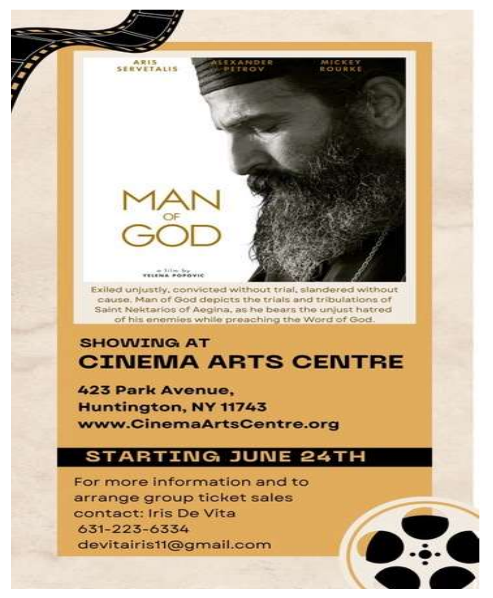e lile by<br>TELENA POPOVIC Exiled unjustly, convicted without trial, slandered without cause. Man of God depicts the trials and tribulations of Saint Nektarios of Aegina, as he bears the unjust hatred of his enemies while preaching the Word of God.

### **SHOWING AT CINEMA ARTS CENTRE**

423 Park Avenue. Huntington, NY 11743 www.CinemaArtsCentre.org

**SERVETALIS** 

#### **STARTING JUNE 24TH**

For more information and to arrange group ticket sales contact: Iris De Vita 631-223-6334 devitairis11@gmail.com